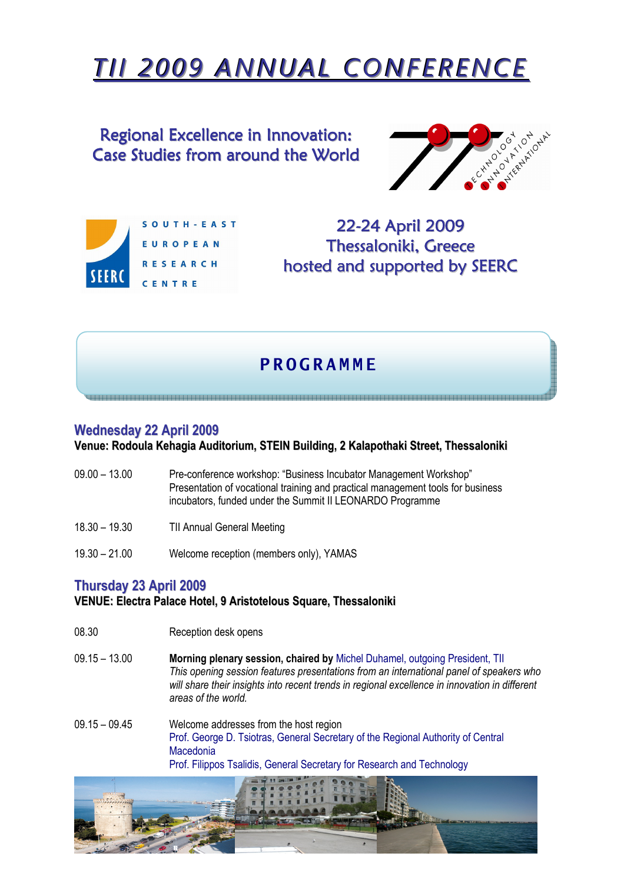# TII 2009 ANNUAL CONFERENCE

Regional Excellence in Innovation: Case Studies from around the World





22-24 April 2009 Thessaloniki, Greece hosted and supported by SEERC

## **P R O G R A M M F**

a da wana sana mata ya kata wa kata wa mata wa kata wa mata wa mata wa mata wa mata wa mata wa mata wa mata wa

#### Wednesday 22 April 2009

Venue: Rodoula Kehagia Auditorium, STEIN Building, 2 Kalapothaki Street, Thessaloniki

- 09.00 13.00 Pre-conference workshop: "Business Incubator Management Workshop" Presentation of vocational training and practical management tools for business incubators, funded under the Summit II LEONARDO Programme
- 18.30 19.30 TII Annual General Meeting
- 19.30 21.00 Welcome reception (members only), YAMAS

#### Thursday 23 April 2009

#### VENUE: Electra Palace Hotel, 9 Aristotelous Square, Thessaloniki

- 08.30 Reception desk opens
- 09.15 13.00 Morning plenary session, chaired by Michel Duhamel, outgoing President, TII This opening session features presentations from an international panel of speakers who will share their insights into recent trends in regional excellence in innovation in different areas of the world.
- 09.15 09.45 Welcome addresses from the host region Prof. George D. Tsiotras, General Secretary of the Regional Authority of Central Macedonia Prof. Filippos Tsalidis, General Secretary for Research and Technology

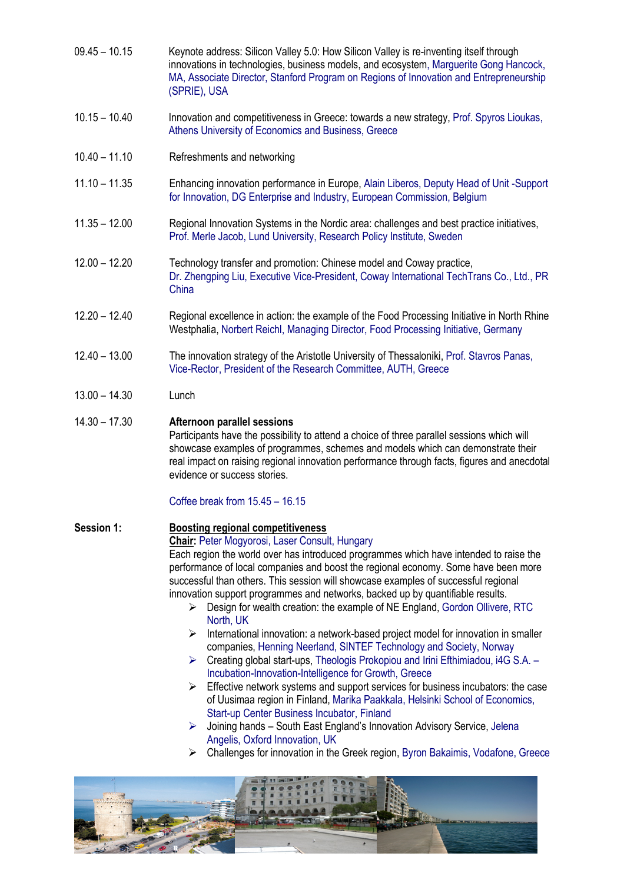- 09.45 10.15 Keynote address: Silicon Valley 5.0: How Silicon Valley is re-inventing itself through innovations in technologies, business models, and ecosystem, Marguerite Gong Hancock, MA, Associate Director, Stanford Program on Regions of Innovation and Entrepreneurship (SPRIE), USA
- 10.15 10.40 Innovation and competitiveness in Greece: towards a new strategy, Prof. Spyros Lioukas, Athens University of Economics and Business, Greece
- 10.40 11.10 Refreshments and networking
- 11.10 11.35 Enhancing innovation performance in Europe, Alain Liberos, Deputy Head of Unit -Support for Innovation, DG Enterprise and Industry, European Commission, Belgium
- 11.35 12.00 Regional Innovation Systems in the Nordic area: challenges and best practice initiatives, Prof. Merle Jacob, Lund University, Research Policy Institute, Sweden
- 12.00 12.20 Technology transfer and promotion: Chinese model and Coway practice, Dr. Zhengping Liu, Executive Vice-President, Coway International TechTrans Co., Ltd., PR China
- 12.20 12.40 Regional excellence in action: the example of the Food Processing Initiative in North Rhine Westphalia, Norbert Reichl, Managing Director, Food Processing Initiative, Germany
- 12.40 13.00 The innovation strategy of the Aristotle University of Thessaloniki, Prof. Stavros Panas, Vice-Rector, President of the Research Committee, AUTH, Greece
- 13.00 14.30 Lunch

#### 14.30 – 17.30 Afternoon parallel sessions

Participants have the possibility to attend a choice of three parallel sessions which will showcase examples of programmes, schemes and models which can demonstrate their real impact on raising regional innovation performance through facts, figures and anecdotal evidence or success stories.

#### Coffee break from 15.45 – 16.15

#### Session 1: Boosting regional competitiveness Chair: Peter Mogyorosi, Laser Consult, Hungary Each region the world over has introduced programmes which have intended to raise the performance of local companies and boost the regional economy. Some have been more successful than others. This session will showcase examples of successful regional innovation support programmes and networks, backed up by quantifiable results.

- $\triangleright$  Design for wealth creation: the example of NE England, Gordon Ollivere, RTC North, UK
- $\triangleright$  International innovation: a network-based project model for innovation in smaller companies, Henning Neerland, SINTEF Technology and Society, Norway
- Creating global start-ups, Theologis Prokopiou and Irini Efthimiadou, i4G S.A. Incubation-Innovation-Intelligence for Growth, Greece
- $\triangleright$  Effective network systems and support services for business incubators: the case of Uusimaa region in Finland, Marika Paakkala, Helsinki School of Economics, Start-up Center Business Incubator, Finland
- $\triangleright$  Joining hands South East England's Innovation Advisory Service, Jelena Angelis, Oxford Innovation, UK
- Challenges for innovation in the Greek region, Byron Bakaimis, Vodafone, Greece

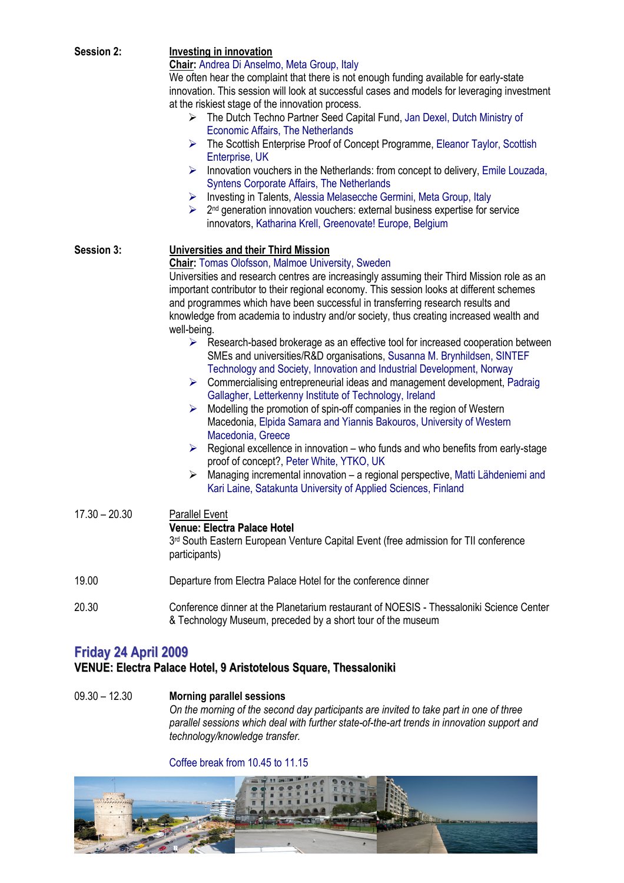| <b>Session 2:</b>           | Investing in innovation                                                                                          |
|-----------------------------|------------------------------------------------------------------------------------------------------------------|
|                             | Chair: Andrea Di Anselmo, Meta Group, Italy                                                                      |
|                             | We often hear the complaint that there is not enough funding available for early-state                           |
|                             | innovation. This session will look at successful cases and models for leveraging investment                      |
|                             | at the riskiest stage of the innovation process.                                                                 |
|                             | The Dutch Techno Partner Seed Capital Fund, Jan Dexel, Dutch Ministry of                                         |
|                             | <b>Economic Affairs, The Netherlands</b>                                                                         |
|                             | ➤                                                                                                                |
|                             | The Scottish Enterprise Proof of Concept Programme, Eleanor Taylor, Scottish                                     |
|                             | Enterprise, UK                                                                                                   |
|                             | Innovation vouchers in the Netherlands: from concept to delivery, Emile Louzada,<br>➤                            |
|                             | Syntens Corporate Affairs, The Netherlands                                                                       |
|                             | Investing in Talents, Alessia Melasecche Germini, Meta Group, Italy<br>➤                                         |
|                             | 2 <sup>nd</sup> generation innovation vouchers: external business expertise for service<br>$\blacktriangleright$ |
|                             | innovators, Katharina Krell, Greenovate! Europe, Belgium                                                         |
| Session 3:                  | Universities and their Third Mission                                                                             |
|                             | <b>Chair:</b> Tomas Olofsson, Malmoe University, Sweden                                                          |
|                             | Universities and research centres are increasingly assuming their Third Mission role as an                       |
|                             | important contributor to their regional economy. This session looks at different schemes                         |
|                             | and programmes which have been successful in transferring research results and                                   |
|                             | knowledge from academia to industry and/or society, thus creating increased wealth and                           |
|                             |                                                                                                                  |
|                             | well-being.                                                                                                      |
|                             | $\triangleright$ Research-based brokerage as an effective tool for increased cooperation between                 |
|                             | SMEs and universities/R&D organisations, Susanna M. Brynhildsen, SINTEF                                          |
|                             | Technology and Society, Innovation and Industrial Development, Norway                                            |
|                             | Commercialising entrepreneurial ideas and management development, Padraig<br>➤                                   |
|                             | Gallagher, Letterkenny Institute of Technology, Ireland                                                          |
|                             | Modelling the promotion of spin-off companies in the region of Western<br>➤                                      |
|                             | Macedonia, Elpida Samara and Yiannis Bakouros, University of Western                                             |
|                             | Macedonia, Greece                                                                                                |
|                             | $\triangleright$ Regional excellence in innovation – who funds and who benefits from early-stage                 |
|                             | proof of concept?, Peter White, YTKO, UK                                                                         |
|                             | Managing incremental innovation - a regional perspective, Matti Lähdeniemi and<br>≻                              |
|                             | Kari Laine, Satakunta University of Applied Sciences, Finland                                                    |
| $17.30 - 20.30$             | <b>Parallel Event</b>                                                                                            |
|                             | <b>Venue: Electra Palace Hotel</b>                                                                               |
|                             | 3rd South Eastern European Venture Capital Event (free admission for TII conference                              |
|                             | participants)                                                                                                    |
|                             |                                                                                                                  |
| 19.00                       | Departure from Electra Palace Hotel for the conference dinner                                                    |
| 20.30                       | Conference dinner at the Planetarium restaurant of NOESIS - Thessaloniki Science Center                          |
|                             | & Technology Museum, preceded by a short tour of the museum                                                      |
|                             |                                                                                                                  |
| <b>Friday 24 April 2009</b> |                                                                                                                  |

### VENUE: Electra Palace Hotel, 9 Aristotelous Square, Thessaloniki

09.30 – 12.30 Morning parallel sessions On the morning of the second day participants are invited to take part in one of three parallel sessions which deal with further state-of-the-art trends in innovation support and technology/knowledge transfer.

#### Coffee break from 10.45 to 11.15

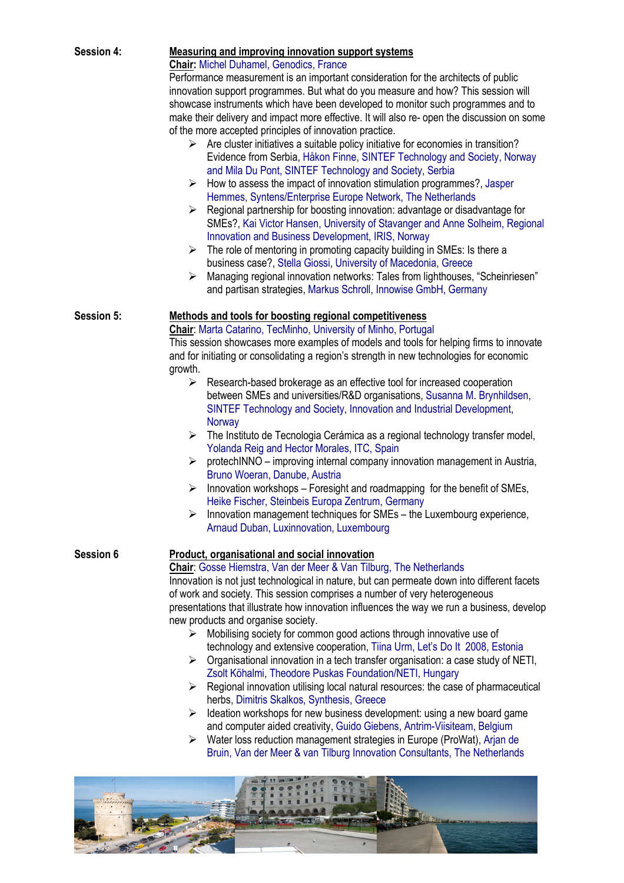| <b>Session 4:</b> | Measuring and improving innovation support systems<br><b>Chair:</b> Michel Duhamel, Genodics, France<br>Performance measurement is an important consideration for the architects of public<br>innovation support programmes. But what do you measure and how? This session will<br>showcase instruments which have been developed to monitor such programmes and to<br>make their delivery and impact more effective. It will also re- open the discussion on some<br>of the more accepted principles of innovation practice.<br>$\triangleright$ Are cluster initiatives a suitable policy initiative for economies in transition?<br>Evidence from Serbia, Håkon Finne, SINTEF Technology and Society, Norway<br>and Mila Du Pont, SINTEF Technology and Society, Serbia<br>$\triangleright$ How to assess the impact of innovation stimulation programmes?, Jasper<br>Hemmes, Syntens/Enterprise Europe Network, The Netherlands<br>Regional partnership for boosting innovation: advantage or disadvantage for<br>➤<br>SMEs?, Kai Victor Hansen, University of Stavanger and Anne Solheim, Regional<br>Innovation and Business Development, IRIS, Norway<br>The role of mentoring in promoting capacity building in SMEs: Is there a<br>≻<br>business case?, Stella Giossi, University of Macedonia, Greece<br>Managing regional innovation networks: Tales from lighthouses, "Scheinriesen"<br>➤ |
|-------------------|-------------------------------------------------------------------------------------------------------------------------------------------------------------------------------------------------------------------------------------------------------------------------------------------------------------------------------------------------------------------------------------------------------------------------------------------------------------------------------------------------------------------------------------------------------------------------------------------------------------------------------------------------------------------------------------------------------------------------------------------------------------------------------------------------------------------------------------------------------------------------------------------------------------------------------------------------------------------------------------------------------------------------------------------------------------------------------------------------------------------------------------------------------------------------------------------------------------------------------------------------------------------------------------------------------------------------------------------------------------------------------------------------------|
|                   | and partisan strategies, Markus Schroll, Innowise GmbH, Germany                                                                                                                                                                                                                                                                                                                                                                                                                                                                                                                                                                                                                                                                                                                                                                                                                                                                                                                                                                                                                                                                                                                                                                                                                                                                                                                                       |
| Session 5:        | Methods and tools for boosting regional competitiveness<br>Chair: Marta Catarino, TecMinho, University of Minho, Portugal<br>This session showcases more examples of models and tools for helping firms to innovate<br>and for initiating or consolidating a region's strength in new technologies for economic<br>growth.<br>Research-based brokerage as an effective tool for increased cooperation<br>≻<br>between SMEs and universities/R&D organisations, Susanna M. Brynhildsen,<br>SINTEF Technology and Society, Innovation and Industrial Development,<br>Norway<br>$\triangleright$ The Instituto de Tecnologia Cerámica as a regional technology transfer model,<br>Yolanda Reig and Hector Morales, ITC, Spain<br>$\triangleright$ protechINNO – improving internal company innovation management in Austria,<br>Bruno Woeran, Danube, Austria<br>Innovation workshops – Foresight and roadmapping for the benefit of SMEs,<br>➤<br>Heike Fischer, Steinbeis Europa Zentrum, Germany                                                                                                                                                                                                                                                                                                                                                                                                      |
|                   | Innovation management techniques for SMEs - the Luxembourg experience,<br>Arnaud Duban, Luxinnovation, Luxembourg                                                                                                                                                                                                                                                                                                                                                                                                                                                                                                                                                                                                                                                                                                                                                                                                                                                                                                                                                                                                                                                                                                                                                                                                                                                                                     |
| Session 6         | Product, organisational and social innovation<br>Chair: Gosse Hiemstra, Van der Meer & Van Tilburg, The Netherlands<br>Innovation is not just technological in nature, but can permeate down into different facets<br>of work and society. This session comprises a number of very heterogeneous<br>presentations that illustrate how innovation influences the way we run a business, develop<br>new products and organise society.<br>Mobilising society for common good actions through innovative use of<br>➤<br>technology and extensive cooperation, Tiina Urm, Let's Do It 2008, Estonia<br>$\triangleright$ Organisational innovation in a tech transfer organisation: a case study of NETI,<br>Zsolt Köhalmi, Theodore Puskas Foundation/NETI, Hungary<br>Regional innovation utilising local natural resources: the case of pharmaceutical<br>≻<br>herbs, Dimitris Skalkos, Synthesis, Greece<br>Ideation workshops for new business development: using a new board game<br>➤<br>and computer aided creativity, Guido Giebens, Antrim-Viisiteam, Belgium<br>Water loss reduction management strategies in Europe (ProWat), Arjan de<br>➤<br>Bruin, Van der Meer & van Tilburg Innovation Consultants, The Netherlands                                                                                                                                                                       |
|                   |                                                                                                                                                                                                                                                                                                                                                                                                                                                                                                                                                                                                                                                                                                                                                                                                                                                                                                                                                                                                                                                                                                                                                                                                                                                                                                                                                                                                       |